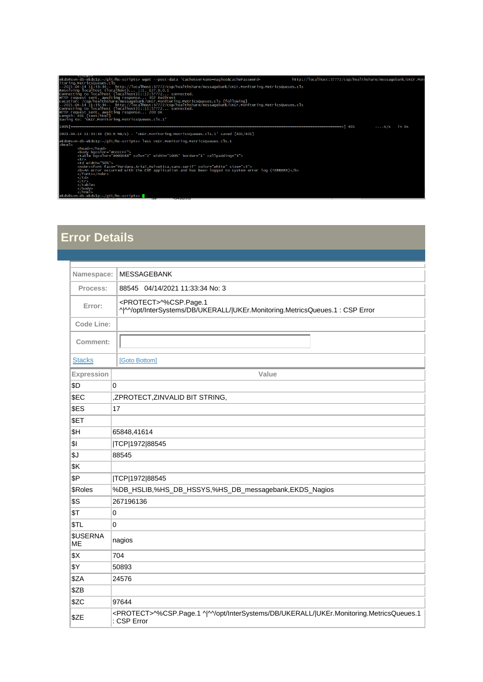| $\sim$ $\sim$ $\sim$ $\sim$<br>ekds@svm-db-ekds1p:~/git/hs-scripts> wget --post-data 'CacheUserName=nagios&CachePassword=                                                                                                                                                                                                                                                                                                                                                                                                                                                                                                                                                                                          | http://localhost:57772/csp/healthshare/messagebank/UKEr.Mon                                                                                                                                                                                                                                                         |  |
|--------------------------------------------------------------------------------------------------------------------------------------------------------------------------------------------------------------------------------------------------------------------------------------------------------------------------------------------------------------------------------------------------------------------------------------------------------------------------------------------------------------------------------------------------------------------------------------------------------------------------------------------------------------------------------------------------------------------|---------------------------------------------------------------------------------------------------------------------------------------------------------------------------------------------------------------------------------------------------------------------------------------------------------------------|--|
| itoring.MetricsQueues.cls<br>--2021-04-14 11:33:34-- http://localhost:57772/csp/healthshare/messagebank/UKEr.Monitoring.MetricsQueues.cls<br>Resolving localhost (localhost) $: 1, 127.0.0.1$<br>Connecting to localhost (localhost) ::1 :57772 connected.<br>HTTP request sent, awaiting response 302 Redirect<br>Location: /csp/healthshare/messagebank/UKEr.Monitoring.MetricsQueues.cls [following]<br>--2021-04-14 11:33:34-- http://localhost:57772/csp/healthshare/messagebank/UKEr.Monitoring.MetricsQueues.cls<br>Connecting to localhost (localhost) ::1 :57772 connected.<br>HTTP request sent, awaiting response 200 OK<br>Length: 401 [text/html]<br>Saving to: 'UKEr.Monitoring.MetricsQueues.cls.1' |                                                                                                                                                                                                                                                                                                                     |  |
| 100% -----------------------                                                                                                                                                                                                                                                                                                                                                                                                                                                                                                                                                                                                                                                                                       | $--.-K/s$ in Os                                                                                                                                                                                                                                                                                                     |  |
| 2021-04-14 11:33:34 (90.6 MB/s) - 'UKEr.Monitoring.MetricsQueues.cls.1' saved [401/401]                                                                                                                                                                                                                                                                                                                                                                                                                                                                                                                                                                                                                            |                                                                                                                                                                                                                                                                                                                     |  |
| ekds@svm-db-ekds1p:~/qit/hs-scripts> less UKEr.Monitoring.MetricsQueues.cls.1<br>$<$ html><br><head></head><br><body bacolor="#CCCCFF"><br/><table border="1" bqcolor="#000088" cellpadding="3" cols="2" width="100%"><br/><math>&lt;</math>tr&gt;<br/><td width="50%"><br/><nobr><font color="white" face="verdana,Arial,Helvetica,sans-serif" size="+3"><br/><b>An error occurred with the CSP application and has been logged to system error log (^ERRORS)</b><br/></font></nobr><br/><math>\langle</math>/td&gt;<br/><math>\langle</math>/tr&gt;<br/><math>\langle</math>/table&gt;<br/><math>\langle</math>/bod<math>\vee</math><br/><math>\langle</math>/html&gt;</td><td></td></table></body>              | <br><nobr><font color="white" face="verdana,Arial,Helvetica,sans-serif" size="+3"><br/><b>An error occurred with the CSP application and has been logged to system error log (^ERRORS)</b><br/></font></nobr><br>$\langle$ /td><br>$\langle$ /tr><br>$\langle$ /table><br>$\langle$ /bod $\vee$<br>$\langle$ /html> |  |
| ekds@svm-db-ekds1p:~/git/hs-scripts><br>$-188$                                                                                                                                                                                                                                                                                                                                                                                                                                                                                                                                                                                                                                                                     |                                                                                                                                                                                                                                                                                                                     |  |

## **Error Details**

| Namespace:                   | <b>MESSAGEBANK</b>                                                                                                |  |
|------------------------------|-------------------------------------------------------------------------------------------------------------------|--|
| Process:                     | 88545 04/14/2021 11:33:34 No: 3                                                                                   |  |
| Error:                       | <protect>^%CSP.Page.1<br/>^ ^^/opt/InterSystems/DB/UKERALL/ UKEr.Monitoring.MetricsQueues.1: CSP Error</protect>  |  |
| <b>Code Line:</b>            |                                                                                                                   |  |
| Comment:                     |                                                                                                                   |  |
| <b>Stacks</b>                | [Goto Bottom]                                                                                                     |  |
| Expression                   | Value                                                                                                             |  |
| \$D                          | 0                                                                                                                 |  |
| \$EC                         | ,ZPROTECT,ZINVALID BIT STRING,                                                                                    |  |
| \$ES                         | 17                                                                                                                |  |
| \$ET                         |                                                                                                                   |  |
| \$H                          | 65848,41614                                                                                                       |  |
| \$I                          | TCP 1972 88545                                                                                                    |  |
| \$J                          | 88545                                                                                                             |  |
| \$K                          |                                                                                                                   |  |
| \$P                          | TCP 1972 88545                                                                                                    |  |
| \$Roles                      | %DB_HSLIB,%HS_DB_HSSYS,%HS_DB_messagebank,EKDS_Nagios                                                             |  |
| \$S                          | 267196136                                                                                                         |  |
| \$T                          | 0                                                                                                                 |  |
| \$TL                         | 0                                                                                                                 |  |
| <b>\$USERNA</b><br><b>ME</b> | nagios                                                                                                            |  |
| \$X                          | 704                                                                                                               |  |
| \$Y                          | 50893                                                                                                             |  |
| \$ZA                         | 24576                                                                                                             |  |
| \$ZB                         |                                                                                                                   |  |
| \$ZC                         | 97644                                                                                                             |  |
| \$ZE                         | <protect>^%CSP.Page.1 ^ ^^/opt/InterSystems/DB/UKERALL/ UKEr.Monitoring.MetricsQueues.1<br/>: CSP Error</protect> |  |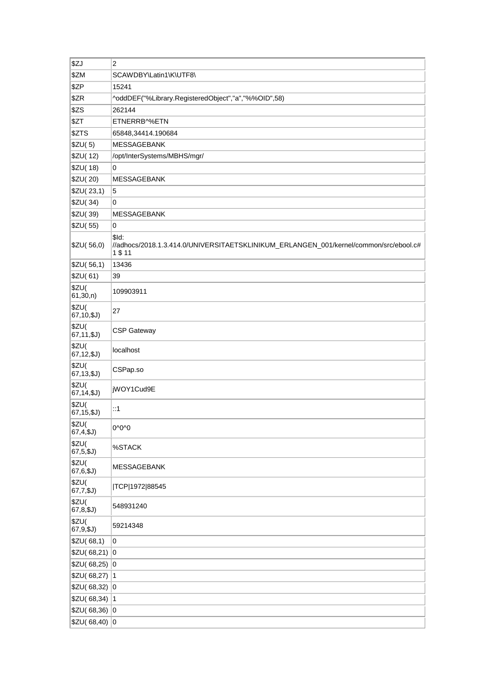| \$ZJ                  | 2                                                                                                         |
|-----------------------|-----------------------------------------------------------------------------------------------------------|
| \$ZM                  | SCAWDBY\Latin1\K\UTF8\                                                                                    |
| \$ZP                  | 15241                                                                                                     |
| \$ZR                  | ^oddDEF("%Library.RegisteredObject","a","%%OID",58)                                                       |
| \$ZS                  | 262144                                                                                                    |
| \$ZT                  | ETNERRB^%ETN                                                                                              |
| \$ZTS                 | 65848,34414.190684                                                                                        |
| \$ZU(5)               | <b>MESSAGEBANK</b>                                                                                        |
| \$ZU(12)              | /opt/InterSystems/MBHS/mgr/                                                                               |
| \$ZU(18)              | 0                                                                                                         |
| \$ZU(20)              | <b>MESSAGEBANK</b>                                                                                        |
| \$ZU(23,1)            | 5                                                                                                         |
| \$ZU(34)              | 0                                                                                                         |
| \$ZU(39)              | MESSAGEBANK                                                                                               |
| \$ZU(55)              | 0                                                                                                         |
| \$ZU(56,0)            | \$ld:<br>//adhocs/2018.1.3.414.0/UNIVERSITAETSKLINIKUM_ERLANGEN_001/kernel/common/src/ebool.c#<br>1 \$ 11 |
| \$ZU(56,1)            | 13436                                                                                                     |
| \$ZU(61)              | 39                                                                                                        |
| \$ZU(<br>61,30, n)    | 109903911                                                                                                 |
| \$ZU(<br>67, 10, \$J) | 27                                                                                                        |
| \$ZU(<br>67, 11, \$J) | <b>CSP Gateway</b>                                                                                        |
| \$ZU(<br>67, 12, \$J) | localhost                                                                                                 |
| \$ZU(<br>67, 13, \$J) | CSPap.so                                                                                                  |
| \$ZU(<br>67, 14, \$J) | jWOY1Cud9E                                                                                                |
| \$ZU(<br>67, 15, \$J) | ::1                                                                                                       |
| \$ZU(<br>67, 4, \$J)  | 0^0^0                                                                                                     |
| \$ZU(<br>67, 5, \$J)  | %STACK                                                                                                    |
| \$ZU(<br>67, 6, \$J)  | MESSAGEBANK                                                                                               |
| \$ZU(<br>$67,7,\$J)$  | TCP 1972 88545                                                                                            |
| \$ZU(<br>67, 8, \$J)  | 548931240                                                                                                 |
| \$ZU(<br>$67,9,\$J)$  | 59214348                                                                                                  |
| \$ZU(68,1)            | 0                                                                                                         |
| $$ZU(68,21)$ 0        |                                                                                                           |
| $$ZU(68,25)$ 0        |                                                                                                           |
| $$ZU(68,27)$ 1        |                                                                                                           |
| $$ZU(68,32)$ 0        |                                                                                                           |
| $$ZU(68,34)$ 1        |                                                                                                           |
| $$ZU(68,36)$ 0        |                                                                                                           |
| $$ZU(68,40)$ 0        |                                                                                                           |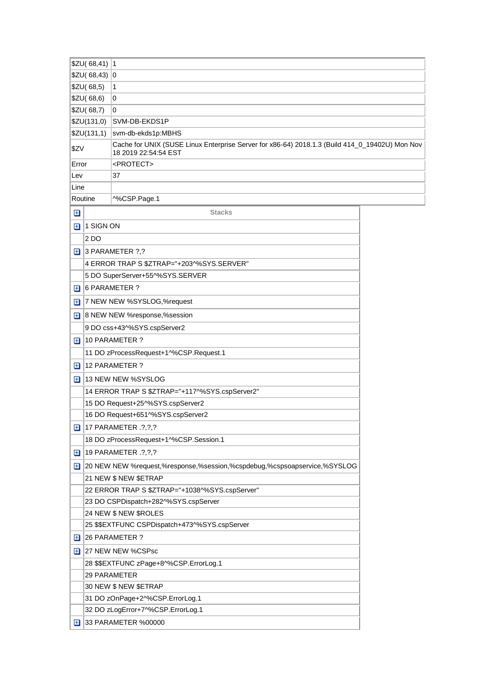|               | $$ZU(68,41)$ 1 |                                                                                                                        |  |
|---------------|----------------|------------------------------------------------------------------------------------------------------------------------|--|
|               | \$ZU(68,43)    | 0                                                                                                                      |  |
|               | \$ZU(68,5)     | 1                                                                                                                      |  |
|               | \$ZU(68,6)     | 0                                                                                                                      |  |
|               | \$ZU(68,7)     | 0                                                                                                                      |  |
|               | \$ZU(131,0)    | SVM-DB-EKDS1P                                                                                                          |  |
|               | \$ZU(131,1)    | svm-db-ekds1p:MBHS                                                                                                     |  |
| \$ZV          |                | Cache for UNIX (SUSE Linux Enterprise Server for x86-64) 2018.1.3 (Build 414_0_19402U) Mon Nov<br>18 2019 22:54:54 EST |  |
| Error         |                | <protect></protect>                                                                                                    |  |
| Lev           |                | 37                                                                                                                     |  |
| Line          |                |                                                                                                                        |  |
| Routine       |                | ^%CSP.Page.1                                                                                                           |  |
| $\mathbf \Xi$ |                | <b>Stacks</b>                                                                                                          |  |
| $\mathbf \Xi$ | 1 SIGN ON      |                                                                                                                        |  |
|               | 2 <sub>D</sub> |                                                                                                                        |  |
| $\boxplus$    |                | $ 3$ PARAMETER $?$ ,?                                                                                                  |  |
|               |                | 4 ERROR TRAP S \$ZTRAP="+203^%SYS.SERVER"                                                                              |  |
|               |                | 5 DO SuperServer+55^%SYS.SERVER                                                                                        |  |
| ⊞             |                | 6 PARAMETER ?                                                                                                          |  |
| ⊞             |                | 7 NEW NEW %SYSLOG,%request                                                                                             |  |
| 田             |                | 8 NEW NEW %response,%session                                                                                           |  |
|               |                | 9 DO css+43^%SYS.cspServer2                                                                                            |  |
| $\mathbf \Xi$ |                | 10 PARAMETER ?                                                                                                         |  |
|               |                | 11 DO zProcessRequest+1^%CSP.Request.1                                                                                 |  |
| ⊞             |                | 12 PARAMETER ?                                                                                                         |  |
| ⊞             |                | 13 NEW NEW %SYSLOG                                                                                                     |  |
|               |                | 14 ERROR TRAP S \$ZTRAP="+117^%SYS.cspServer2"                                                                         |  |
|               |                | 15 DO Request+25^%SYS.cspServer2                                                                                       |  |
|               |                | 16 DO Request+651^%SYS.cspServer2                                                                                      |  |
| ⊞             |                | 17 PARAMETER .?,?,?                                                                                                    |  |
|               |                | 18 DO zProcessRequest+1^%CSP.Session.1                                                                                 |  |
| Œ             |                | 19 PARAMETER . ? , ? , ?                                                                                               |  |
| ш             |                | 20 NEW NEW %request,%response,%session,%cspdebug,%cspsoapservice,%SYSLOG                                               |  |
|               |                | 21 NEW \$ NEW \$ETRAP                                                                                                  |  |
|               |                | 22 ERROR TRAP S \$ZTRAP="+1038^%SYS.cspServer"                                                                         |  |
|               |                | 23 DO CSPDispatch+282^%SYS.cspServer                                                                                   |  |
|               |                | 24 NEW \$ NEW \$ROLES                                                                                                  |  |
|               |                | 25 \$\$EXTFUNC CSPDispatch+473^%SYS.cspServer                                                                          |  |
| Œ             |                | 26 PARAMETER ?                                                                                                         |  |
| ⊞             |                | 27 NEW NEW %CSPsc                                                                                                      |  |
|               |                | 28 \$\$EXTFUNC zPage+8^%CSP.ErrorLog.1                                                                                 |  |
|               |                | 29 PARAMETER                                                                                                           |  |
|               |                | 30 NEW \$ NEW \$ETRAP                                                                                                  |  |
|               |                | 31 DO zOnPage+2^%CSP.ErrorLog.1                                                                                        |  |
|               |                | 32 DO zLogError+7^%CSP.ErrorLog.1                                                                                      |  |
| Œ             |                | 33 PARAMETER %00000                                                                                                    |  |